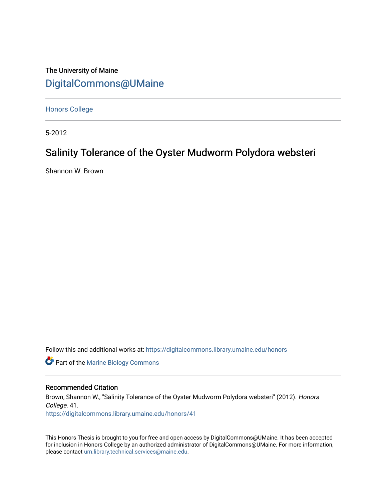# The University of Maine [DigitalCommons@UMaine](https://digitalcommons.library.umaine.edu/)

[Honors College](https://digitalcommons.library.umaine.edu/honors)

5-2012

# Salinity Tolerance of the Oyster Mudworm Polydora websteri

Shannon W. Brown

Follow this and additional works at: [https://digitalcommons.library.umaine.edu/honors](https://digitalcommons.library.umaine.edu/honors?utm_source=digitalcommons.library.umaine.edu%2Fhonors%2F41&utm_medium=PDF&utm_campaign=PDFCoverPages) 

**Part of the Marine Biology Commons** 

#### Recommended Citation

Brown, Shannon W., "Salinity Tolerance of the Oyster Mudworm Polydora websteri" (2012). Honors College. 41. [https://digitalcommons.library.umaine.edu/honors/41](https://digitalcommons.library.umaine.edu/honors/41?utm_source=digitalcommons.library.umaine.edu%2Fhonors%2F41&utm_medium=PDF&utm_campaign=PDFCoverPages) 

This Honors Thesis is brought to you for free and open access by DigitalCommons@UMaine. It has been accepted for inclusion in Honors College by an authorized administrator of DigitalCommons@UMaine. For more information, please contact [um.library.technical.services@maine.edu.](mailto:um.library.technical.services@maine.edu)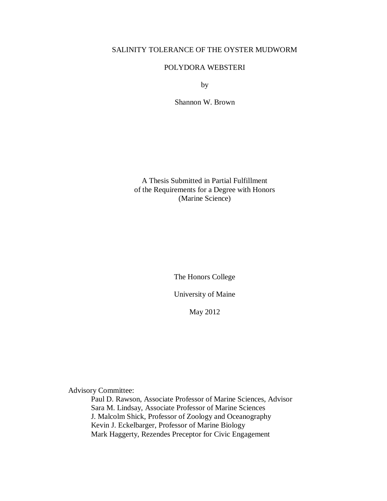## SALINITY TOLERANCE OF THE OYSTER MUDWORM

## POLYDORA WEBSTERI

by

Shannon W. Brown

A Thesis Submitted in Partial Fulfillment of the Requirements for a Degree with Honors (Marine Science)

The Honors College

University of Maine

May 2012

Advisory Committee:

Paul D. Rawson, Associate Professor of Marine Sciences, Advisor Sara M. Lindsay, Associate Professor of Marine Sciences J. Malcolm Shick, Professor of Zoology and Oceanography Kevin J. Eckelbarger, Professor of Marine Biology Mark Haggerty, Rezendes Preceptor for Civic Engagement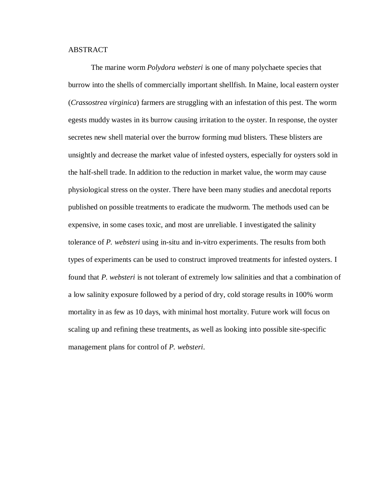#### ABSTRACT

The marine worm *Polydora websteri* is one of many polychaete species that burrow into the shells of commercially important shellfish. In Maine, local eastern oyster (*Crassostrea virginica*) farmers are struggling with an infestation of this pest. The worm egests muddy wastes in its burrow causing irritation to the oyster. In response, the oyster secretes new shell material over the burrow forming mud blisters. These blisters are unsightly and decrease the market value of infested oysters, especially for oysters sold in the half-shell trade. In addition to the reduction in market value, the worm may cause physiological stress on the oyster. There have been many studies and anecdotal reports published on possible treatments to eradicate the mudworm. The methods used can be expensive, in some cases toxic, and most are unreliable. I investigated the salinity tolerance of *P. websteri* using in-situ and in-vitro experiments. The results from both types of experiments can be used to construct improved treatments for infested oysters. I found that *P. websteri* is not tolerant of extremely low salinities and that a combination of a low salinity exposure followed by a period of dry, cold storage results in 100% worm mortality in as few as 10 days, with minimal host mortality. Future work will focus on scaling up and refining these treatments, as well as looking into possible site-specific management plans for control of *P. websteri*.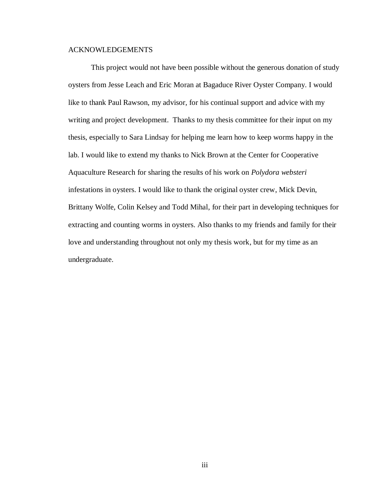## ACKNOWLEDGEMENTS

This project would not have been possible without the generous donation of study oysters from Jesse Leach and Eric Moran at Bagaduce River Oyster Company. I would like to thank Paul Rawson, my advisor, for his continual support and advice with my writing and project development. Thanks to my thesis committee for their input on my thesis, especially to Sara Lindsay for helping me learn how to keep worms happy in the lab. I would like to extend my thanks to Nick Brown at the Center for Cooperative Aquaculture Research for sharing the results of his work on *Polydora websteri* infestations in oysters. I would like to thank the original oyster crew, Mick Devin, Brittany Wolfe, Colin Kelsey and Todd Mihal, for their part in developing techniques for extracting and counting worms in oysters. Also thanks to my friends and family for their love and understanding throughout not only my thesis work, but for my time as an undergraduate.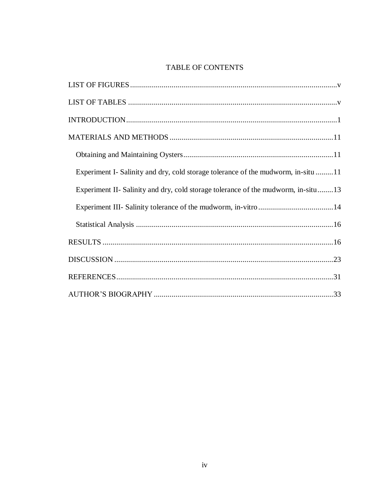## TABLE OF CONTENTS

| Experiment I- Salinity and dry, cold storage tolerance of the mudworm, in-situ 11 |
|-----------------------------------------------------------------------------------|
| Experiment II- Salinity and dry, cold storage tolerance of the mudworm, in-situ13 |
|                                                                                   |
|                                                                                   |
|                                                                                   |
|                                                                                   |
|                                                                                   |
|                                                                                   |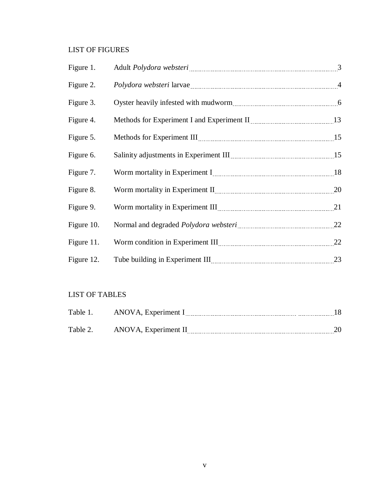## <span id="page-5-0"></span>LIST OF FIGURES

| Figure 1.  |                                                                                                               |    |
|------------|---------------------------------------------------------------------------------------------------------------|----|
| Figure 2.  | Polydora websteri larvae matematica e di altre di altre di altre di altre di altre di altre di altre di altre |    |
| Figure 3.  |                                                                                                               |    |
| Figure 4.  | Methods for Experiment I and Experiment II <b>INCO 120 FM</b> 13                                              |    |
| Figure 5.  |                                                                                                               |    |
| Figure 6.  | Salinity adjustments in Experiment III <b>Marting 1998</b> 15                                                 |    |
| Figure 7.  | Worm mortality in Experiment I manual contract and the 18                                                     |    |
| Figure 8.  | Worm mortality in Experiment II <b>Marting 1999</b> 20                                                        |    |
| Figure 9.  | Worm mortality in Experiment III <b>Manual</b> Electron 21                                                    |    |
| Figure 10. |                                                                                                               |    |
| Figure 11. |                                                                                                               |    |
| Figure 12. |                                                                                                               | 23 |

## <span id="page-5-1"></span>LIST OF TABLES

| Table 1. | ANOVA, Experiment I  |  |
|----------|----------------------|--|
| Table 2. | ANOVA, Experiment II |  |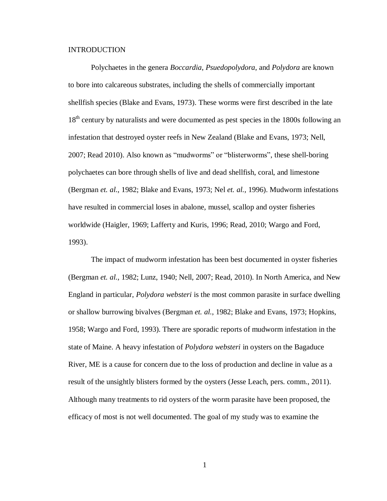#### <span id="page-6-0"></span>INTRODUCTION

Polychaetes in the genera *Boccardia*, *Psuedopolydora*, and *Polydora* are known to bore into calcareous substrates, including the shells of commercially important shellfish species (Blake and Evans, 1973). These worms were first described in the late 18<sup>th</sup> century by naturalists and were documented as pest species in the 1800s following an infestation that destroyed oyster reefs in New Zealand (Blake and Evans, 1973; Nell, 2007; Read 2010). Also known as "mudworms" or "blisterworms", these shell-boring polychaetes can bore through shells of live and dead shellfish, coral, and limestone (Bergman *et. al.*, 1982; Blake and Evans, 1973; Nel *et. al.*, 1996). Mudworm infestations have resulted in commercial loses in abalone, mussel, scallop and oyster fisheries worldwide (Haigler, 1969; Lafferty and Kuris, 1996; Read, 2010; Wargo and Ford, 1993).

The impact of mudworm infestation has been best documented in oyster fisheries (Bergman *et. al.*, 1982; Lunz, 1940; Nell, 2007; Read, 2010). In North America, and New England in particular, *Polydora websteri* is the most common parasite in surface dwelling or shallow burrowing bivalves (Bergman *et. al.*, 1982; Blake and Evans, 1973; Hopkins, 1958; Wargo and Ford, 1993). There are sporadic reports of mudworm infestation in the state of Maine. A heavy infestation of *Polydora websteri* in oysters on the Bagaduce River, ME is a cause for concern due to the loss of production and decline in value as a result of the unsightly blisters formed by the oysters (Jesse Leach, pers. comm., 2011). Although many treatments to rid oysters of the worm parasite have been proposed, the efficacy of most is not well documented. The goal of my study was to examine the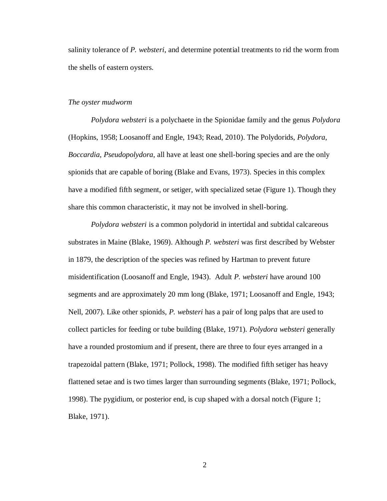salinity tolerance of *P. websteri*, and determine potential treatments to rid the worm from the shells of eastern oysters.

#### *The oyster mudworm*

*Polydora websteri* is a polychaete in the Spionidae family and the genus *Polydora* (Hopkins, 1958; Loosanoff and Engle, 1943; Read, 2010). The Polydorids, *Polydora*, *Boccardia*, *Pseudopolydora*, all have at least one shell-boring species and are the only spionids that are capable of boring (Blake and Evans, 1973). Species in this complex have a modified fifth segment, or setiger, with specialized setae (Figure 1). Though they share this common characteristic, it may not be involved in shell-boring.

*Polydora websteri* is a common polydorid in intertidal and subtidal calcareous substrates in Maine (Blake, 1969). Although *P. websteri* was first described by Webster in 1879, the description of the species was refined by Hartman to prevent future misidentification (Loosanoff and Engle, 1943). Adult *P. websteri* have around 100 segments and are approximately 20 mm long (Blake, 1971; Loosanoff and Engle, 1943; Nell, 2007). Like other spionids, *P. websteri* has a pair of long palps that are used to collect particles for feeding or tube building (Blake, 1971). *Polydora websteri* generally have a rounded prostomium and if present, there are three to four eyes arranged in a trapezoidal pattern (Blake, 1971; Pollock, 1998). The modified fifth setiger has heavy flattened setae and is two times larger than surrounding segments (Blake, 1971; Pollock, 1998). The pygidium, or posterior end, is cup shaped with a dorsal notch (Figure 1; Blake, 1971).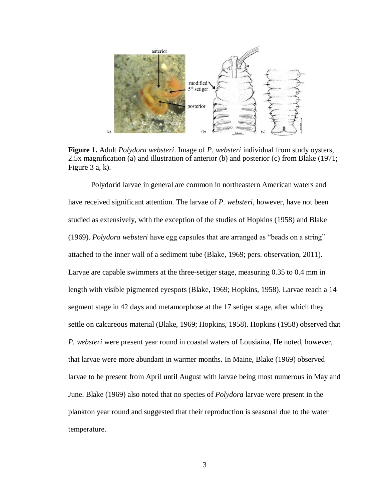

**Figure 1.** Adult *Polydora websteri*. Image of *P. websteri* individual from study oysters, 2.5x magnification (a) and illustration of anterior (b) and posterior (c) from Blake (1971; Figure 3 a, k).

Polydorid larvae in general are common in northeastern American waters and have received significant attention. The larvae of *P. websteri*, however, have not been studied as extensively, with the exception of the studies of Hopkins (1958) and Blake (1969). *Polydora websteri* have egg capsules that are arranged as "beads on a string" attached to the inner wall of a sediment tube (Blake, 1969; pers. observation, 2011). Larvae are capable swimmers at the three-setiger stage, measuring 0.35 to 0.4 mm in length with visible pigmented eyespots (Blake, 1969; Hopkins, 1958). Larvae reach a 14 segment stage in 42 days and metamorphose at the 17 setiger stage, after which they settle on calcareous material (Blake, 1969; Hopkins, 1958). Hopkins (1958) observed that *P. websteri* were present year round in coastal waters of Lousiaina. He noted, however, that larvae were more abundant in warmer months. In Maine, Blake (1969) observed larvae to be present from April until August with larvae being most numerous in May and June. Blake (1969) also noted that no species of *Polydora* larvae were present in the plankton year round and suggested that their reproduction is seasonal due to the water temperature.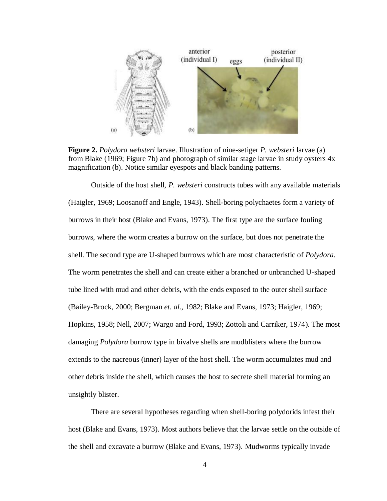

**Figure 2.** *Polydora websteri* larvae. Illustration of nine-setiger *P. websteri* larvae (a) from Blake (1969; Figure 7b) and photograph of similar stage larvae in study oysters 4x magnification (b). Notice similar eyespots and black banding patterns.

Outside of the host shell, *P. websteri* constructs tubes with any available materials (Haigler, 1969; Loosanoff and Engle, 1943). Shell-boring polychaetes form a variety of burrows in their host (Blake and Evans, 1973). The first type are the surface fouling burrows, where the worm creates a burrow on the surface, but does not penetrate the shell. The second type are U-shaped burrows which are most characteristic of *Polydora*. The worm penetrates the shell and can create either a branched or unbranched U-shaped tube lined with mud and other debris, with the ends exposed to the outer shell surface (Bailey-Brock, 2000; Bergman *et. al.*, 1982; Blake and Evans, 1973; Haigler, 1969; Hopkins, 1958; Nell, 2007; Wargo and Ford, 1993; Zottoli and Carriker, 1974). The most damaging *Polydora* burrow type in bivalve shells are mudblisters where the burrow extends to the nacreous (inner) layer of the host shell. The worm accumulates mud and other debris inside the shell, which causes the host to secrete shell material forming an unsightly blister.

There are several hypotheses regarding when shell-boring polydorids infest their host (Blake and Evans, 1973). Most authors believe that the larvae settle on the outside of the shell and excavate a burrow (Blake and Evans, 1973). Mudworms typically invade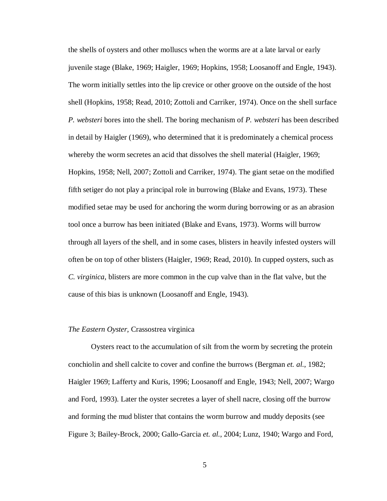the shells of oysters and other molluscs when the worms are at a late larval or early juvenile stage (Blake, 1969; Haigler, 1969; Hopkins, 1958; Loosanoff and Engle, 1943). The worm initially settles into the lip crevice or other groove on the outside of the host shell (Hopkins, 1958; Read, 2010; Zottoli and Carriker, 1974). Once on the shell surface *P. websteri* bores into the shell. The boring mechanism of *P. websteri* has been described in detail by Haigler (1969), who determined that it is predominately a chemical process whereby the worm secretes an acid that dissolves the shell material (Haigler, 1969; Hopkins, 1958; Nell, 2007; Zottoli and Carriker, 1974). The giant setae on the modified fifth setiger do not play a principal role in burrowing (Blake and Evans, 1973). These modified setae may be used for anchoring the worm during borrowing or as an abrasion tool once a burrow has been initiated (Blake and Evans, 1973). Worms will burrow through all layers of the shell, and in some cases, blisters in heavily infested oysters will often be on top of other blisters (Haigler, 1969; Read, 2010). In cupped oysters, such as *C. virginica*, blisters are more common in the cup valve than in the flat valve, but the cause of this bias is unknown (Loosanoff and Engle, 1943).

#### *The Eastern Oyster,* Crassostrea virginica

Oysters react to the accumulation of silt from the worm by secreting the protein conchiolin and shell calcite to cover and confine the burrows (Bergman *et. al.*, 1982; Haigler 1969; Lafferty and Kuris, 1996; Loosanoff and Engle, 1943; Nell, 2007; Wargo and Ford, 1993). Later the oyster secretes a layer of shell nacre, closing off the burrow and forming the mud blister that contains the worm burrow and muddy deposits (see Figure 3; Bailey-Brock, 2000; Gallo-Garcia *et. al.*, 2004; Lunz, 1940; Wargo and Ford,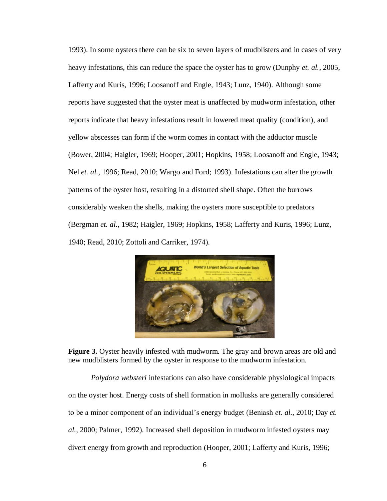1993). In some oysters there can be six to seven layers of mudblisters and in cases of very heavy infestations, this can reduce the space the oyster has to grow (Dunphy *et. al.*, 2005, Lafferty and Kuris, 1996; Loosanoff and Engle, 1943; Lunz, 1940). Although some reports have suggested that the oyster meat is unaffected by mudworm infestation, other reports indicate that heavy infestations result in lowered meat quality (condition), and yellow abscesses can form if the worm comes in contact with the adductor muscle (Bower, 2004; Haigler, 1969; Hooper, 2001; Hopkins, 1958; Loosanoff and Engle, 1943; Nel *et. al.*, 1996; Read, 2010; Wargo and Ford; 1993). Infestations can alter the growth patterns of the oyster host, resulting in a distorted shell shape. Often the burrows considerably weaken the shells, making the oysters more susceptible to predators (Bergman *et. al.*, 1982; Haigler, 1969; Hopkins, 1958; Lafferty and Kuris, 1996; Lunz, 1940; Read, 2010; Zottoli and Carriker, 1974).



**Figure 3.** Oyster heavily infested with mudworm. The gray and brown areas are old and new mudblisters formed by the oyster in response to the mudworm infestation.

*Polydora websteri* infestations can also have considerable physiological impacts on the oyster host. Energy costs of shell formation in mollusks are generally considered to be a minor component of an individual's energy budget (Beniash *et. al.*, 2010; Day *et. al.*, 2000; Palmer, 1992). Increased shell deposition in mudworm infested oysters may divert energy from growth and reproduction (Hooper, 2001; Lafferty and Kuris, 1996;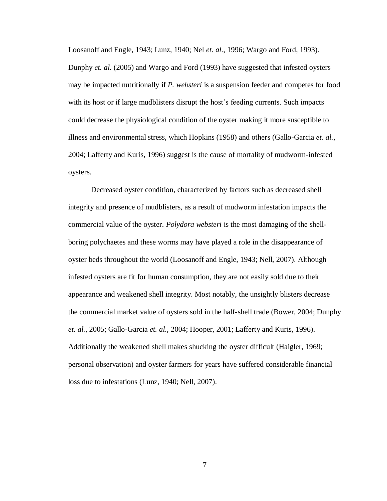Loosanoff and Engle, 1943; Lunz, 1940; Nel *et. al.*, 1996; Wargo and Ford, 1993). Dunphy *et. al.* (2005) and Wargo and Ford (1993) have suggested that infested oysters may be impacted nutritionally if *P. websteri* is a suspension feeder and competes for food with its host or if large mudblisters disrupt the host's feeding currents. Such impacts could decrease the physiological condition of the oyster making it more susceptible to illness and environmental stress, which Hopkins (1958) and others (Gallo-Garcia *et. al.*, 2004; Lafferty and Kuris, 1996) suggest is the cause of mortality of mudworm-infested oysters.

Decreased oyster condition, characterized by factors such as decreased shell integrity and presence of mudblisters, as a result of mudworm infestation impacts the commercial value of the oyster. *Polydora websteri* is the most damaging of the shellboring polychaetes and these worms may have played a role in the disappearance of oyster beds throughout the world (Loosanoff and Engle, 1943; Nell, 2007). Although infested oysters are fit for human consumption, they are not easily sold due to their appearance and weakened shell integrity. Most notably, the unsightly blisters decrease the commercial market value of oysters sold in the half-shell trade (Bower, 2004; Dunphy *et. al.*, 2005; Gallo-Garcia *et. al.*, 2004; Hooper, 2001; Lafferty and Kuris, 1996). Additionally the weakened shell makes shucking the oyster difficult (Haigler, 1969; personal observation) and oyster farmers for years have suffered considerable financial loss due to infestations (Lunz, 1940; Nell, 2007).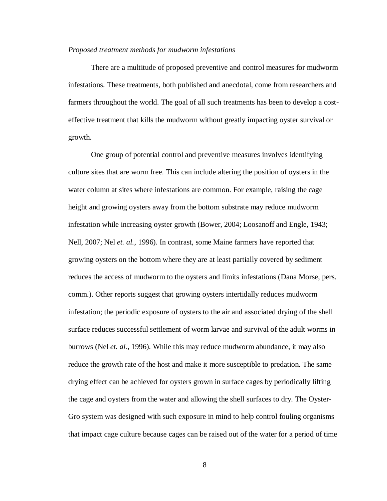#### *Proposed treatment methods for mudworm infestations*

There are a multitude of proposed preventive and control measures for mudworm infestations. These treatments, both published and anecdotal, come from researchers and farmers throughout the world. The goal of all such treatments has been to develop a costeffective treatment that kills the mudworm without greatly impacting oyster survival or growth.

One group of potential control and preventive measures involves identifying culture sites that are worm free. This can include altering the position of oysters in the water column at sites where infestations are common. For example, raising the cage height and growing oysters away from the bottom substrate may reduce mudworm infestation while increasing oyster growth (Bower, 2004; Loosanoff and Engle, 1943; Nell, 2007; Nel *et. al.*, 1996). In contrast, some Maine farmers have reported that growing oysters on the bottom where they are at least partially covered by sediment reduces the access of mudworm to the oysters and limits infestations (Dana Morse, pers. comm.). Other reports suggest that growing oysters intertidally reduces mudworm infestation; the periodic exposure of oysters to the air and associated drying of the shell surface reduces successful settlement of worm larvae and survival of the adult worms in burrows (Nel *et. al.*, 1996). While this may reduce mudworm abundance, it may also reduce the growth rate of the host and make it more susceptible to predation. The same drying effect can be achieved for oysters grown in surface cages by periodically lifting the cage and oysters from the water and allowing the shell surfaces to dry. The Oyster-Gro system was designed with such exposure in mind to help control fouling organisms that impact cage culture because cages can be raised out of the water for a period of time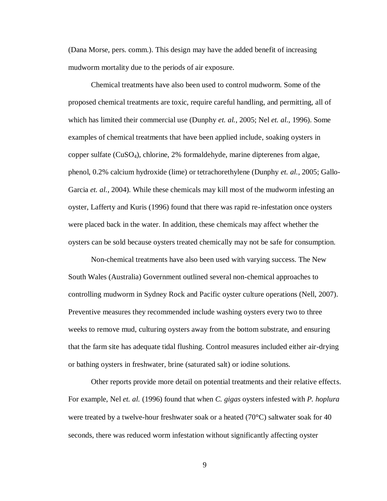(Dana Morse, pers. comm.). This design may have the added benefit of increasing mudworm mortality due to the periods of air exposure.

Chemical treatments have also been used to control mudworm. Some of the proposed chemical treatments are toxic, require careful handling, and permitting, all of which has limited their commercial use (Dunphy *et. al.*, 2005; Nel *et. al.*, 1996). Some examples of chemical treatments that have been applied include, soaking oysters in copper sulfate  $(CuSO<sub>4</sub>)$ , chlorine, 2% formaldehyde, marine dipterenes from algae, phenol, 0.2% calcium hydroxide (lime) or tetrachorethylene (Dunphy *et. al.*, 2005; Gallo-Garcia *et. al.*, 2004). While these chemicals may kill most of the mudworm infesting an oyster, Lafferty and Kuris (1996) found that there was rapid re-infestation once oysters were placed back in the water. In addition, these chemicals may affect whether the oysters can be sold because oysters treated chemically may not be safe for consumption.

Non-chemical treatments have also been used with varying success. The New South Wales (Australia) Government outlined several non-chemical approaches to controlling mudworm in Sydney Rock and Pacific oyster culture operations (Nell, 2007). Preventive measures they recommended include washing oysters every two to three weeks to remove mud, culturing oysters away from the bottom substrate, and ensuring that the farm site has adequate tidal flushing. Control measures included either air-drying or bathing oysters in freshwater, brine (saturated salt) or iodine solutions.

Other reports provide more detail on potential treatments and their relative effects. For example, Nel *et. al.* (1996) found that when *C. gigas* oysters infested with *P. hoplura* were treated by a twelve-hour freshwater soak or a heated  $(70^{\circ}C)$  saltwater soak for 40 seconds, there was reduced worm infestation without significantly affecting oyster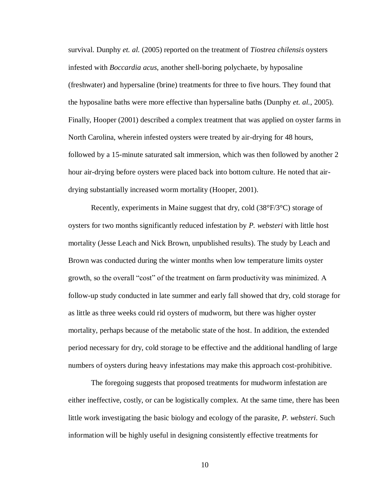survival. Dunphy *et. al.* (2005) reported on the treatment of *Tiostrea chilensis* oysters infested with *Boccardia acus*, another shell-boring polychaete, by hyposaline (freshwater) and hypersaline (brine) treatments for three to five hours. They found that the hyposaline baths were more effective than hypersaline baths (Dunphy *et. al.*, 2005). Finally, Hooper (2001) described a complex treatment that was applied on oyster farms in North Carolina, wherein infested oysters were treated by air-drying for 48 hours, followed by a 15-minute saturated salt immersion, which was then followed by another 2 hour air-drying before oysters were placed back into bottom culture. He noted that airdrying substantially increased worm mortality (Hooper, 2001).

Recently, experiments in Maine suggest that dry, cold  $(38^{\circ}F/3^{\circ}C)$  storage of oysters for two months significantly reduced infestation by *P. websteri* with little host mortality (Jesse Leach and Nick Brown, unpublished results). The study by Leach and Brown was conducted during the winter months when low temperature limits oyster growth, so the overall "cost" of the treatment on farm productivity was minimized. A follow-up study conducted in late summer and early fall showed that dry, cold storage for as little as three weeks could rid oysters of mudworm, but there was higher oyster mortality, perhaps because of the metabolic state of the host. In addition, the extended period necessary for dry, cold storage to be effective and the additional handling of large numbers of oysters during heavy infestations may make this approach cost-prohibitive.

The foregoing suggests that proposed treatments for mudworm infestation are either ineffective, costly, or can be logistically complex. At the same time, there has been little work investigating the basic biology and ecology of the parasite, *P. websteri*. Such information will be highly useful in designing consistently effective treatments for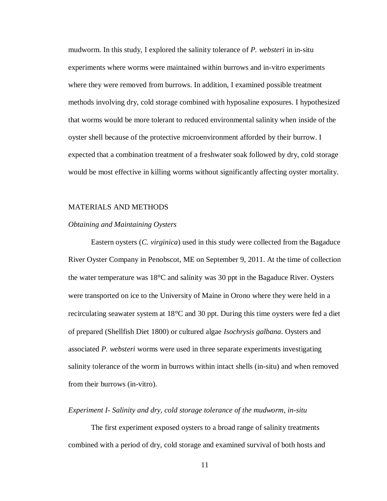mudworm. In this study, I explored the salinity tolerance of *P. websteri* in in-situ experiments where worms were maintained within burrows and in-vitro experiments where they were removed from burrows. In addition, I examined possible treatment methods involving dry, cold storage combined with hyposaline exposures. I hypothesized that worms would be more tolerant to reduced environmental salinity when inside of the oyster shell because of the protective microenvironment afforded by their burrow. I expected that a combination treatment of a freshwater soak followed by dry, cold storage would be most effective in killing worms without significantly affecting oyster mortality.

#### <span id="page-16-0"></span>MATERIALS AND METHODS

#### <span id="page-16-1"></span>*Obtaining and Maintaining Oysters*

Eastern oysters (*C. virginica*) used in this study were collected from the Bagaduce River Oyster Company in Penobscot, ME on September 9, 2011. At the time of collection the water temperature was  $18^{\circ}$ C and salinity was 30 ppt in the Bagaduce River. Oysters were transported on ice to the University of Maine in Orono where they were held in a recirculating seawater system at  $18^{\circ}$ C and 30 ppt. During this time oysters were fed a diet of prepared (Shellfish Diet 1800) or cultured algae *Isochrysis galbana*. Oysters and associated *P. websteri* worms were used in three separate experiments investigating salinity tolerance of the worm in burrows within intact shells (in-situ) and when removed from their burrows (in-vitro).

#### <span id="page-16-2"></span>*Experiment I- Salinity and dry, cold storage tolerance of the mudworm, in-situ*

The first experiment exposed oysters to a broad range of salinity treatments combined with a period of dry, cold storage and examined survival of both hosts and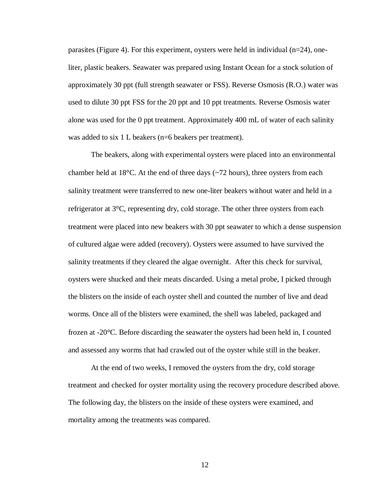parasites (Figure 4). For this experiment, oysters were held in individual ( $n=24$ ), oneliter, plastic beakers. Seawater was prepared using Instant Ocean for a stock solution of approximately 30 ppt (full strength seawater or FSS). Reverse Osmosis (R.O.) water was used to dilute 30 ppt FSS for the 20 ppt and 10 ppt treatments. Reverse Osmosis water alone was used for the 0 ppt treatment. Approximately 400 mL of water of each salinity was added to six 1 L beakers (n=6 beakers per treatment).

The beakers, along with experimental oysters were placed into an environmental chamber held at 18 $\degree$ C. At the end of three days ( $\degree$ 72 hours), three oysters from each salinity treatment were transferred to new one-liter beakers without water and held in a refrigerator at  $3^{\circ}$ C, representing dry, cold storage. The other three oysters from each treatment were placed into new beakers with 30 ppt seawater to which a dense suspension of cultured algae were added (recovery). Oysters were assumed to have survived the salinity treatments if they cleared the algae overnight. After this check for survival, oysters were shucked and their meats discarded. Using a metal probe, I picked through the blisters on the inside of each oyster shell and counted the number of live and dead worms. Once all of the blisters were examined, the shell was labeled, packaged and frozen at  $-20^{\circ}$ C. Before discarding the seawater the oysters had been held in, I counted and assessed any worms that had crawled out of the oyster while still in the beaker.

At the end of two weeks, I removed the oysters from the dry, cold storage treatment and checked for oyster mortality using the recovery procedure described above. The following day, the blisters on the inside of these oysters were examined, and mortality among the treatments was compared.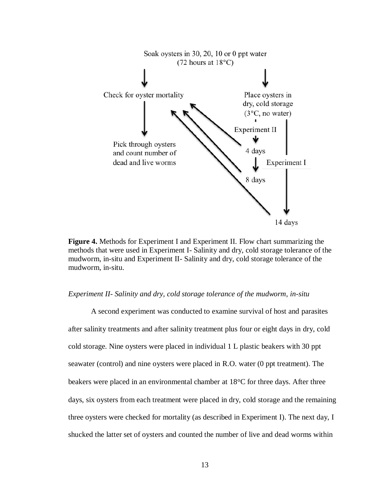

**Figure 4.** Methods for Experiment I and Experiment II. Flow chart summarizing the methods that were used in Experiment I- Salinity and dry, cold storage tolerance of the mudworm, in-situ and Experiment II- Salinity and dry, cold storage tolerance of the mudworm, in-situ.

#### <span id="page-18-0"></span>*Experiment II- Salinity and dry, cold storage tolerance of the mudworm, in-situ*

A second experiment was conducted to examine survival of host and parasites after salinity treatments and after salinity treatment plus four or eight days in dry, cold cold storage. Nine oysters were placed in individual 1 L plastic beakers with 30 ppt seawater (control) and nine oysters were placed in R.O. water (0 ppt treatment). The beakers were placed in an environmental chamber at  $18^{\circ}$ C for three days. After three days, six oysters from each treatment were placed in dry, cold storage and the remaining three oysters were checked for mortality (as described in Experiment I). The next day, I shucked the latter set of oysters and counted the number of live and dead worms within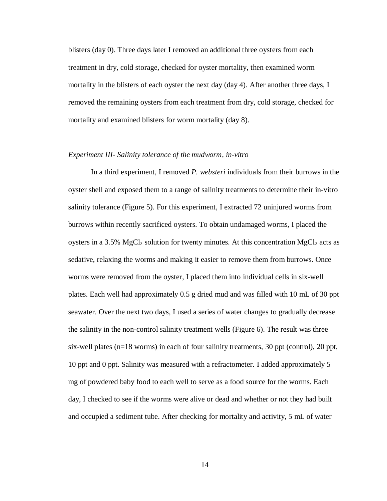blisters (day 0). Three days later I removed an additional three oysters from each treatment in dry, cold storage, checked for oyster mortality, then examined worm mortality in the blisters of each oyster the next day (day 4). After another three days, I removed the remaining oysters from each treatment from dry, cold storage, checked for mortality and examined blisters for worm mortality (day 8).

## <span id="page-19-0"></span>*Experiment III- Salinity tolerance of the mudworm, in-vitro*

In a third experiment, I removed *P. websteri* individuals from their burrows in the oyster shell and exposed them to a range of salinity treatments to determine their in-vitro salinity tolerance (Figure 5). For this experiment, I extracted 72 uninjured worms from burrows within recently sacrificed oysters. To obtain undamaged worms, I placed the oysters in a 3.5% MgCl<sub>2</sub> solution for twenty minutes. At this concentration MgCl<sub>2</sub> acts as sedative, relaxing the worms and making it easier to remove them from burrows. Once worms were removed from the oyster, I placed them into individual cells in six-well plates. Each well had approximately 0.5 g dried mud and was filled with 10 mL of 30 ppt seawater. Over the next two days, I used a series of water changes to gradually decrease the salinity in the non-control salinity treatment wells (Figure 6). The result was three six-well plates (n=18 worms) in each of four salinity treatments, 30 ppt (control), 20 ppt, 10 ppt and 0 ppt. Salinity was measured with a refractometer. I added approximately 5 mg of powdered baby food to each well to serve as a food source for the worms. Each day, I checked to see if the worms were alive or dead and whether or not they had built and occupied a sediment tube. After checking for mortality and activity, 5 mL of water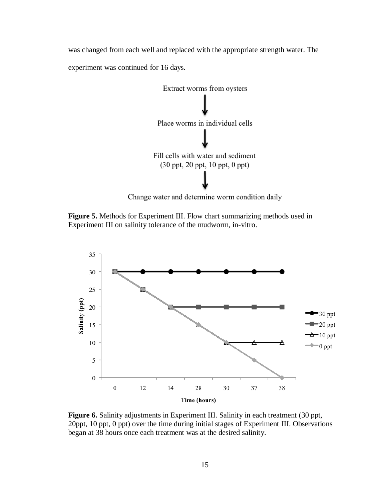was changed from each well and replaced with the appropriate strength water. The experiment was continued for 16 days.



Change water and determine worm condition daily

**Figure 5.** Methods for Experiment III. Flow chart summarizing methods used in Experiment III on salinity tolerance of the mudworm, in-vitro.



**Figure 6.** Salinity adjustments in Experiment III. Salinity in each treatment (30 ppt, 20ppt, 10 ppt, 0 ppt) over the time during initial stages of Experiment III. Observations began at 38 hours once each treatment was at the desired salinity.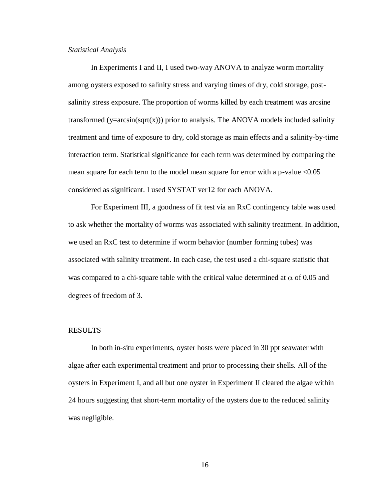#### <span id="page-21-0"></span>*Statistical Analysis*

In Experiments I and II, I used two-way ANOVA to analyze worm mortality among oysters exposed to salinity stress and varying times of dry, cold storage, postsalinity stress exposure. The proportion of worms killed by each treatment was arcsine transformed ( $y=arcsin(sqrt(x))$ ) prior to analysis. The ANOVA models included salinity treatment and time of exposure to dry, cold storage as main effects and a salinity-by-time interaction term. Statistical significance for each term was determined by comparing the mean square for each term to the model mean square for error with a p-value <0.05 considered as significant. I used SYSTAT ver12 for each ANOVA.

For Experiment III, a goodness of fit test via an RxC contingency table was used to ask whether the mortality of worms was associated with salinity treatment. In addition, we used an RxC test to determine if worm behavior (number forming tubes) was associated with salinity treatment. In each case, the test used a chi-square statistic that was compared to a chi-square table with the critical value determined at  $\alpha$  of 0.05 and degrees of freedom of 3.

#### <span id="page-21-1"></span>RESULTS

In both in-situ experiments, oyster hosts were placed in 30 ppt seawater with algae after each experimental treatment and prior to processing their shells. All of the oysters in Experiment I, and all but one oyster in Experiment II cleared the algae within 24 hours suggesting that short-term mortality of the oysters due to the reduced salinity was negligible.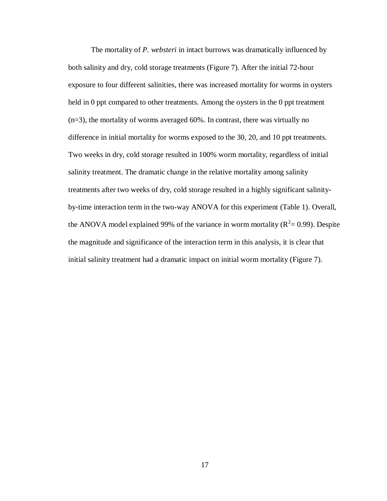The mortality of *P. websteri* in intact burrows was dramatically influenced by both salinity and dry, cold storage treatments (Figure 7). After the initial 72-hour exposure to four different salinities, there was increased mortality for worms in oysters held in 0 ppt compared to other treatments. Among the oysters in the 0 ppt treatment  $(n=3)$ , the mortality of worms averaged 60%. In contrast, there was virtually no difference in initial mortality for worms exposed to the 30, 20, and 10 ppt treatments. Two weeks in dry, cold storage resulted in 100% worm mortality, regardless of initial salinity treatment. The dramatic change in the relative mortality among salinity treatments after two weeks of dry, cold storage resulted in a highly significant salinityby-time interaction term in the two-way ANOVA for this experiment (Table 1). Overall, the ANOVA model explained 99% of the variance in worm mortality ( $R^2 = 0.99$ ). Despite the magnitude and significance of the interaction term in this analysis, it is clear that initial salinity treatment had a dramatic impact on initial worm mortality (Figure 7).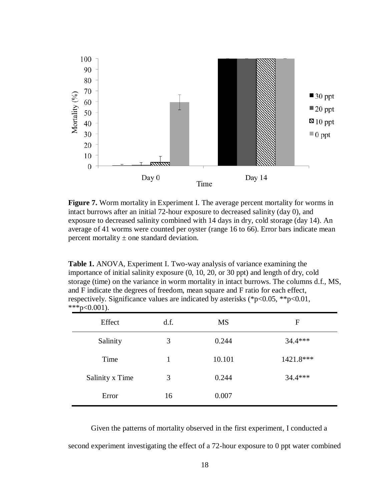

**Figure 7.** Worm mortality in Experiment I. The average percent mortality for worms in intact burrows after an initial 72-hour exposure to decreased salinity (day 0), and exposure to decreased salinity combined with 14 days in dry, cold storage (day 14). An average of 41 worms were counted per oyster (range 16 to 66). Error bars indicate mean percent mortality  $\pm$  one standard deviation.

**Table 1.** ANOVA, Experiment I. Two-way analysis of variance examining the importance of initial salinity exposure (0, 10, 20, or 30 ppt) and length of dry, cold storage (time) on the variance in worm mortality in intact burrows. The columns d.f., MS, and F indicate the degrees of freedom, mean square and F ratio for each effect, respectively. Significance values are indicated by asterisks (\*p<0.05, \*\*p<0.01,  $***p<0.001$ ).

| $\mathbf{r}$<br>Effect | d.f. | <b>MS</b> | F           |
|------------------------|------|-----------|-------------|
| Salinity               | 3    | 0.244     | $34.4***$   |
| Time                   |      | 10.101    | $1421.8***$ |
| Salinity x Time        | 3    | 0.244     | $34.4***$   |
| Error                  | 16   | 0.007     |             |

Given the patterns of mortality observed in the first experiment, I conducted a second experiment investigating the effect of a 72-hour exposure to 0 ppt water combined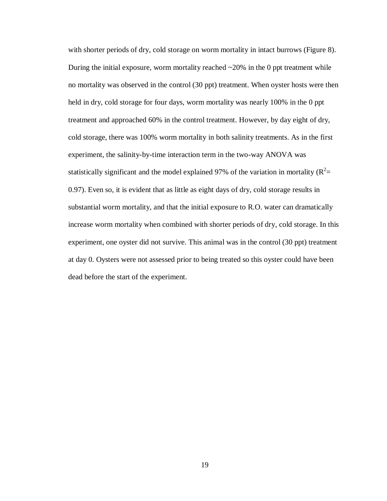with shorter periods of dry, cold storage on worm mortality in intact burrows (Figure 8). During the initial exposure, worm mortality reached  $\sim$  20% in the 0 ppt treatment while no mortality was observed in the control (30 ppt) treatment. When oyster hosts were then held in dry, cold storage for four days, worm mortality was nearly 100% in the 0 ppt treatment and approached 60% in the control treatment. However, by day eight of dry, cold storage, there was 100% worm mortality in both salinity treatments. As in the first experiment, the salinity-by-time interaction term in the two-way ANOVA was statistically significant and the model explained 97% of the variation in mortality ( $R^2$  = 0.97). Even so, it is evident that as little as eight days of dry, cold storage results in substantial worm mortality, and that the initial exposure to R.O. water can dramatically increase worm mortality when combined with shorter periods of dry, cold storage. In this experiment, one oyster did not survive. This animal was in the control (30 ppt) treatment at day 0. Oysters were not assessed prior to being treated so this oyster could have been dead before the start of the experiment.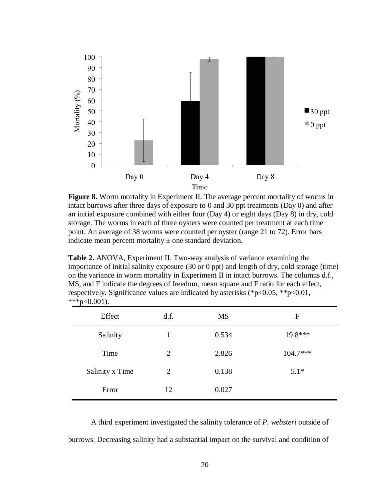

**Figure 8.** Worm mortality in Experiment II. The average percent mortality of worms in intact burrows after three days of exposure to 0 and 30 ppt treatments (Day 0) and after an initial exposure combined with either four (Day 4) or eight days (Day 8) in dry, cold storage. The worms in each of three oysters were counted per treatment at each time point. An average of 38 worms were counted per oyster (range 21 to 72). Error bars indicate mean percent mortality  $\pm$  one standard deviation.

**Table 2.** ANOVA, Experiment II. Two-way analysis of variance examining the importance of initial salinity exposure (30 or 0 ppt) and length of dry, cold storage (time) on the variance in worm mortality in Experiment II in intact burrows. The columns d.f., MS, and F indicate the degrees of freedom, mean square and F ratio for each effect, respectively. Significance values are indicated by asterisks (\*p<0.05, \*\*p<0.01,  $***p<0.001$ ).

| Effect          | d.f.           | MS    | F          |
|-----------------|----------------|-------|------------|
| Salinity        | $\mathbf{1}$   | 0.534 | 19.8***    |
| Time            | 2              | 2.826 | $104.7***$ |
| Salinity x Time | $\overline{2}$ | 0.138 | $5.1*$     |
| Error           | 12             | 0.027 |            |

A third experiment investigated the salinity tolerance of *P. websteri* outside of burrows. Decreasing salinity had a substantial impact on the survival and condition of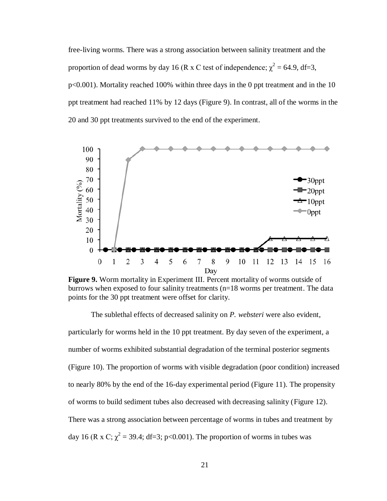free-living worms. There was a strong association between salinity treatment and the proportion of dead worms by day 16 (R x C test of independence;  $\chi^2 = 64.9$ , df=3, p<0.001). Mortality reached 100% within three days in the 0 ppt treatment and in the 10 ppt treatment had reached 11% by 12 days (Figure 9). In contrast, all of the worms in the 20 and 30 ppt treatments survived to the end of the experiment.



**Figure 9.** Worm mortality in Experiment III. Percent mortality of worms outside of burrows when exposed to four salinity treatments (n=18 worms per treatment. The data points for the 30 ppt treatment were offset for clarity.

The sublethal effects of decreased salinity on *P. websteri* were also evident, particularly for worms held in the 10 ppt treatment. By day seven of the experiment, a number of worms exhibited substantial degradation of the terminal posterior segments (Figure 10). The proportion of worms with visible degradation (poor condition) increased to nearly 80% by the end of the 16-day experimental period (Figure 11). The propensity of worms to build sediment tubes also decreased with decreasing salinity (Figure 12). There was a strong association between percentage of worms in tubes and treatment by day 16 (R x C;  $\chi^2$  = 39.4; df=3; p<0.001). The proportion of worms in tubes was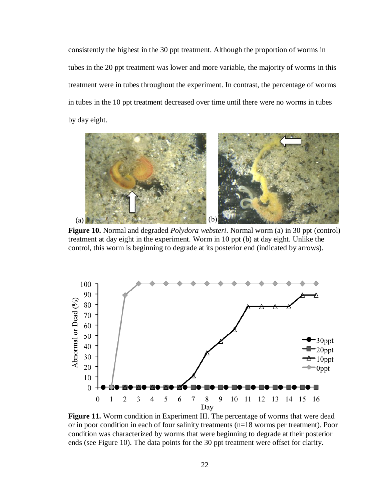consistently the highest in the 30 ppt treatment. Although the proportion of worms in tubes in the 20 ppt treatment was lower and more variable, the majority of worms in this treatment were in tubes throughout the experiment. In contrast, the percentage of worms in tubes in the 10 ppt treatment decreased over time until there were no worms in tubes by day eight.



**Figure 10.** Normal and degraded *Polydora websteri*. Normal worm (a) in 30 ppt (control) treatment at day eight in the experiment. Worm in 10 ppt (b) at day eight. Unlike the control, this worm is beginning to degrade at its posterior end (indicated by arrows).



**Figure 11.** Worm condition in Experiment III. The percentage of worms that were dead or in poor condition in each of four salinity treatments (n=18 worms per treatment). Poor condition was characterized by worms that were beginning to degrade at their posterior ends (see Figure 10). The data points for the 30 ppt treatment were offset for clarity.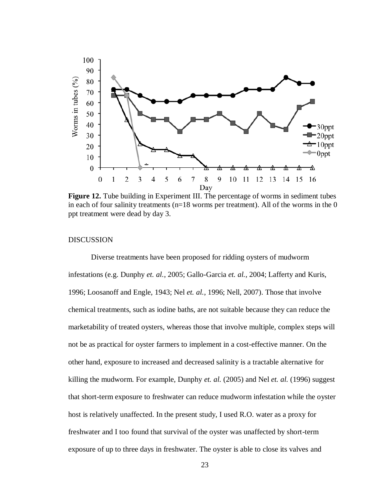

**Figure 12.** Tube building in Experiment III. The percentage of worms in sediment tubes in each of four salinity treatments ( $n=18$  worms per treatment). All of the worms in the 0 ppt treatment were dead by day 3.

## <span id="page-28-0"></span>DISCUSSION

Diverse treatments have been proposed for ridding oysters of mudworm infestations (e.g. Dunphy *et. al.*, 2005; Gallo-Garcia *et. al.*, 2004; Lafferty and Kuris, 1996; Loosanoff and Engle, 1943; Nel *et. al.*, 1996; Nell, 2007). Those that involve chemical treatments, such as iodine baths, are not suitable because they can reduce the marketability of treated oysters, whereas those that involve multiple, complex steps will not be as practical for oyster farmers to implement in a cost-effective manner. On the other hand, exposure to increased and decreased salinity is a tractable alternative for killing the mudworm. For example, Dunphy *et. al.* (2005) and Nel *et. al.* (1996) suggest that short-term exposure to freshwater can reduce mudworm infestation while the oyster host is relatively unaffected. In the present study, I used R.O. water as a proxy for freshwater and I too found that survival of the oyster was unaffected by short-term exposure of up to three days in freshwater. The oyster is able to close its valves and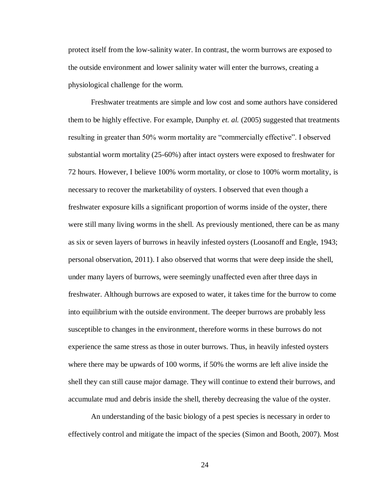protect itself from the low-salinity water. In contrast, the worm burrows are exposed to the outside environment and lower salinity water will enter the burrows, creating a physiological challenge for the worm.

Freshwater treatments are simple and low cost and some authors have considered them to be highly effective. For example, Dunphy *et. al.* (2005) suggested that treatments resulting in greater than 50% worm mortality are "commercially effective". I observed substantial worm mortality (25-60%) after intact oysters were exposed to freshwater for 72 hours. However, I believe 100% worm mortality, or close to 100% worm mortality, is necessary to recover the marketability of oysters. I observed that even though a freshwater exposure kills a significant proportion of worms inside of the oyster, there were still many living worms in the shell. As previously mentioned, there can be as many as six or seven layers of burrows in heavily infested oysters (Loosanoff and Engle, 1943; personal observation, 2011). I also observed that worms that were deep inside the shell, under many layers of burrows, were seemingly unaffected even after three days in freshwater. Although burrows are exposed to water, it takes time for the burrow to come into equilibrium with the outside environment. The deeper burrows are probably less susceptible to changes in the environment, therefore worms in these burrows do not experience the same stress as those in outer burrows. Thus, in heavily infested oysters where there may be upwards of 100 worms, if 50% the worms are left alive inside the shell they can still cause major damage. They will continue to extend their burrows, and accumulate mud and debris inside the shell, thereby decreasing the value of the oyster.

An understanding of the basic biology of a pest species is necessary in order to effectively control and mitigate the impact of the species (Simon and Booth, 2007). Most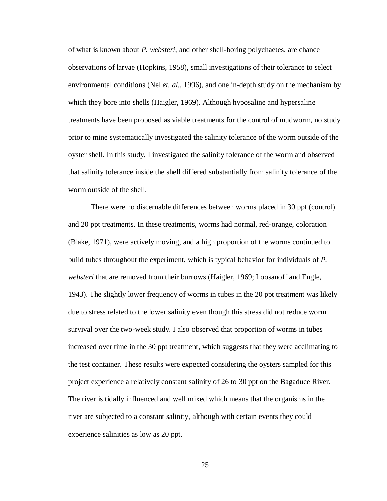of what is known about *P. websteri*, and other shell-boring polychaetes, are chance observations of larvae (Hopkins, 1958), small investigations of their tolerance to select environmental conditions (Nel *et. al.*, 1996), and one in-depth study on the mechanism by which they bore into shells (Haigler, 1969). Although hyposaline and hypersaline treatments have been proposed as viable treatments for the control of mudworm, no study prior to mine systematically investigated the salinity tolerance of the worm outside of the oyster shell. In this study, I investigated the salinity tolerance of the worm and observed that salinity tolerance inside the shell differed substantially from salinity tolerance of the worm outside of the shell.

There were no discernable differences between worms placed in 30 ppt (control) and 20 ppt treatments. In these treatments, worms had normal, red-orange, coloration (Blake, 1971), were actively moving, and a high proportion of the worms continued to build tubes throughout the experiment, which is typical behavior for individuals of *P. websteri* that are removed from their burrows (Haigler, 1969; Loosanoff and Engle, 1943). The slightly lower frequency of worms in tubes in the 20 ppt treatment was likely due to stress related to the lower salinity even though this stress did not reduce worm survival over the two-week study. I also observed that proportion of worms in tubes increased over time in the 30 ppt treatment, which suggests that they were acclimating to the test container. These results were expected considering the oysters sampled for this project experience a relatively constant salinity of 26 to 30 ppt on the Bagaduce River. The river is tidally influenced and well mixed which means that the organisms in the river are subjected to a constant salinity, although with certain events they could experience salinities as low as 20 ppt.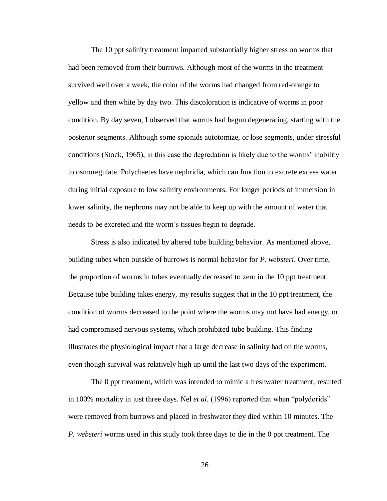The 10 ppt salinity treatment imparted substantially higher stress on worms that had been removed from their burrows. Although most of the worms in the treatment survived well over a week, the color of the worms had changed from red-orange to yellow and then white by day two. This discoloration is indicative of worms in poor condition. By day seven, I observed that worms had begun degenerating, starting with the posterior segments. Although some spionids autotomize, or lose segments, under stressful conditions (Stock, 1965), in this case the degredation is likely due to the worms' inability to osmoregulate. Polychaetes have nephridia, which can function to excrete excess water during initial exposure to low salinity environments. For longer periods of immersion in lower salinity, the nephrons may not be able to keep up with the amount of water that needs to be excreted and the worm's tissues begin to degrade.

Stress is also indicated by altered tube building behavior. As mentioned above, building tubes when outside of burrows is normal behavior for *P. websteri*. Over time, the proportion of worms in tubes eventually decreased to zero in the 10 ppt treatment. Because tube building takes energy, my results suggest that in the 10 ppt treatment, the condition of worms decreased to the point where the worms may not have had energy, or had compromised nervous systems, which prohibited tube building. This finding illustrates the physiological impact that a large decrease in salinity had on the worms, even though survival was relatively high up until the last two days of the experiment.

The 0 ppt treatment, which was intended to mimic a freshwater treatment, resulted in 100% mortality in just three days. Nel *et al.* (1996) reported that when "polydorids" were removed from burrows and placed in freshwater they died within 10 minutes. The *P. websteri* worms used in this study took three days to die in the 0 ppt treatment. The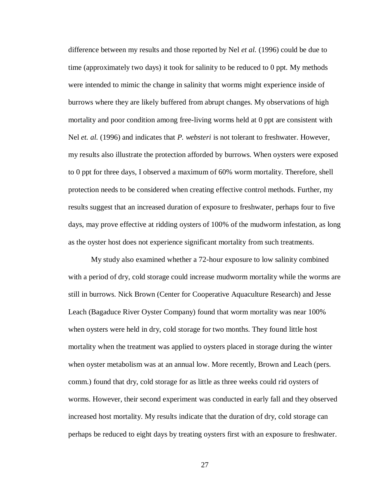difference between my results and those reported by Nel *et al.* (1996) could be due to time (approximately two days) it took for salinity to be reduced to 0 ppt. My methods were intended to mimic the change in salinity that worms might experience inside of burrows where they are likely buffered from abrupt changes. My observations of high mortality and poor condition among free-living worms held at 0 ppt are consistent with Nel *et. al.* (1996) and indicates that *P. websteri* is not tolerant to freshwater. However, my results also illustrate the protection afforded by burrows. When oysters were exposed to 0 ppt for three days, I observed a maximum of 60% worm mortality. Therefore, shell protection needs to be considered when creating effective control methods. Further, my results suggest that an increased duration of exposure to freshwater, perhaps four to five days, may prove effective at ridding oysters of 100% of the mudworm infestation, as long as the oyster host does not experience significant mortality from such treatments.

My study also examined whether a 72-hour exposure to low salinity combined with a period of dry, cold storage could increase mudworm mortality while the worms are still in burrows. Nick Brown (Center for Cooperative Aquaculture Research) and Jesse Leach (Bagaduce River Oyster Company) found that worm mortality was near 100% when oysters were held in dry, cold storage for two months. They found little host mortality when the treatment was applied to oysters placed in storage during the winter when oyster metabolism was at an annual low. More recently, Brown and Leach (pers. comm.) found that dry, cold storage for as little as three weeks could rid oysters of worms. However, their second experiment was conducted in early fall and they observed increased host mortality. My results indicate that the duration of dry, cold storage can perhaps be reduced to eight days by treating oysters first with an exposure to freshwater.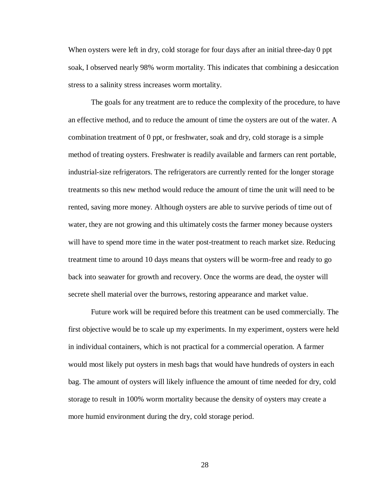When oysters were left in dry, cold storage for four days after an initial three-day 0 ppt soak, I observed nearly 98% worm mortality. This indicates that combining a desiccation stress to a salinity stress increases worm mortality.

The goals for any treatment are to reduce the complexity of the procedure, to have an effective method, and to reduce the amount of time the oysters are out of the water. A combination treatment of 0 ppt, or freshwater, soak and dry, cold storage is a simple method of treating oysters. Freshwater is readily available and farmers can rent portable, industrial-size refrigerators. The refrigerators are currently rented for the longer storage treatments so this new method would reduce the amount of time the unit will need to be rented, saving more money. Although oysters are able to survive periods of time out of water, they are not growing and this ultimately costs the farmer money because oysters will have to spend more time in the water post-treatment to reach market size. Reducing treatment time to around 10 days means that oysters will be worm-free and ready to go back into seawater for growth and recovery. Once the worms are dead, the oyster will secrete shell material over the burrows, restoring appearance and market value.

Future work will be required before this treatment can be used commercially. The first objective would be to scale up my experiments. In my experiment, oysters were held in individual containers, which is not practical for a commercial operation. A farmer would most likely put oysters in mesh bags that would have hundreds of oysters in each bag. The amount of oysters will likely influence the amount of time needed for dry, cold storage to result in 100% worm mortality because the density of oysters may create a more humid environment during the dry, cold storage period.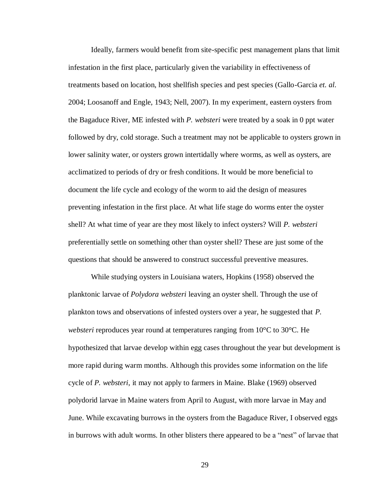Ideally, farmers would benefit from site-specific pest management plans that limit infestation in the first place, particularly given the variability in effectiveness of treatments based on location, host shellfish species and pest species (Gallo-Garcia *et. al.* 2004; Loosanoff and Engle, 1943; Nell, 2007). In my experiment, eastern oysters from the Bagaduce River, ME infested with *P. websteri* were treated by a soak in 0 ppt water followed by dry, cold storage. Such a treatment may not be applicable to oysters grown in lower salinity water, or oysters grown intertidally where worms, as well as oysters, are acclimatized to periods of dry or fresh conditions. It would be more beneficial to document the life cycle and ecology of the worm to aid the design of measures preventing infestation in the first place. At what life stage do worms enter the oyster shell? At what time of year are they most likely to infect oysters? Will *P. websteri* preferentially settle on something other than oyster shell? These are just some of the questions that should be answered to construct successful preventive measures.

While studying oysters in Louisiana waters, Hopkins (1958) observed the planktonic larvae of *Polydora websteri* leaving an oyster shell. Through the use of plankton tows and observations of infested oysters over a year, he suggested that *P. websteri* reproduces year round at temperatures ranging from 10°C to 30°C. He hypothesized that larvae develop within egg cases throughout the year but development is more rapid during warm months. Although this provides some information on the life cycle of *P. websteri*, it may not apply to farmers in Maine. Blake (1969) observed polydorid larvae in Maine waters from April to August, with more larvae in May and June. While excavating burrows in the oysters from the Bagaduce River, I observed eggs in burrows with adult worms. In other blisters there appeared to be a "nest" of larvae that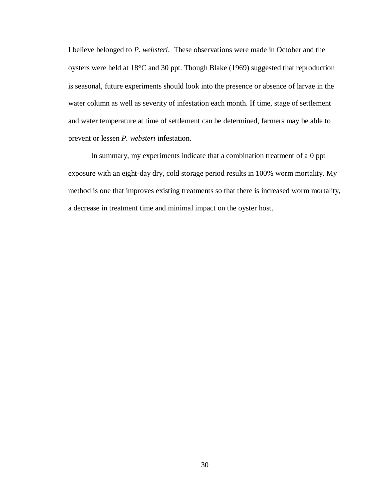I believe belonged to *P. websteri*. These observations were made in October and the oysters were held at 18°C and 30 ppt. Though Blake (1969) suggested that reproduction is seasonal, future experiments should look into the presence or absence of larvae in the water column as well as severity of infestation each month. If time, stage of settlement and water temperature at time of settlement can be determined, farmers may be able to prevent or lessen *P. websteri* infestation.

In summary, my experiments indicate that a combination treatment of a 0 ppt exposure with an eight-day dry, cold storage period results in 100% worm mortality. My method is one that improves existing treatments so that there is increased worm mortality, a decrease in treatment time and minimal impact on the oyster host.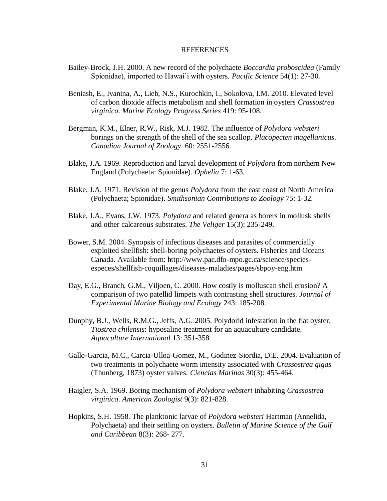#### REFERENCES

- <span id="page-36-0"></span>Bailey-Brock, J.H. 2000. A new record of the polychaete *Boccardia proboscidea* (Family Spionidae), imported to Hawai'i with oysters. *Pacific Science* 54(1): 27-30.
- Beniash, E., Ivanina, A., Lieb, N.S., Kurochkin, I., Sokolova, I.M. 2010. Elevated level of carbon dioxide affects metabolism and shell formation in oysters *Crassostrea virginica*. *Marine Ecology Progress Series* 419: 95-108.
- Bergman, K.M., Elner, R.W., Risk, M.J. 1982. The influence of *Polydora websteri*  borings on the strength of the shell of the sea scallop, *Placopecten magellanicus*. *Canadian Journal of Zoology*. 60: 2551-2556.
- Blake, J.A. 1969. Reproduction and larval development of *Polydora* from northern New England (Polychaeta: Spionidae). *Ophelia* 7: 1-63.
- Blake, J.A. 1971. Revision of the genus *Polydora* from the east coast of North America (Polychaeta; Spionidae). *Smithsonian Contributions to Zoology* 75: 1-32.
- Blake, J.A., Evans, J.W. 1973. *Polydora* and related genera as borers in mollusk shells and other calcareous substrates. *The Veliger* 15(3): 235-249.
- Bower, S.M. 2004. Synopsis of infectious diseases and parasites of commercially exploited shellfish: shell-boring polychaetes of oysters. Fisheries and Oceans Canada. Available from: http://www.pac.dfo-mpo.gc.ca/science/speciesespeces/shellfish-coquillages/diseases-maladies/pages/sbpoy-eng.htm
- Day, E.G., Branch, G.M., Viljoen, C. 2000. How costly is molluscan shell erosion? A comparison of two patellid limpets with contrasting shell structures. *Journal of Experimental Marine Biology and Ecology* 243: 185-208.
- Dunphy, B.J., Wells, R.M.G., Jeffs, A.G. 2005. Polydorid infestation in the flat oyster, *Tiostrea chilensis*: hyposaline treatment for an aquaculture candidate. *Aquaculture International* 13: 351-358.
- Gallo-Garcia, M.C., Carcia-Ulloa-Gomez, M., Godinez-Siordia, D.E. 2004. Evaluation of two treatments in polychaete worm intensity associated with *Crassostrea gigas* (Thunberg, 1873) oyster valves. *Ciencias Marinas* 30(3): 455-464.
- Haigler, S.A. 1969. Boring mechanism of *Polydora websteri* inhabiting *Crassostrea virginica*. *American Zoologist* 9(3): 821-828.
- Hopkins, S.H. 1958. The planktonic larvae of *Polydora websteri* Hartman (Annelida, Polychaeta) and their settling on oysters. *Bulletin of Marine Science of the Gulf and Caribbean* 8(3): 268- 277.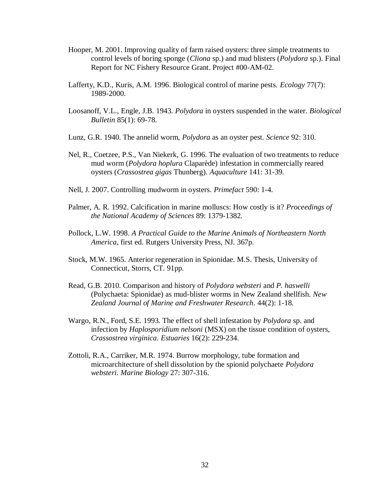- Hooper, M. 2001. Improving quality of farm raised oysters: three simple treatments to control levels of boring sponge (*Cliona* sp.) and mud blisters (*Polydora* sp.). Final Report for NC Fishery Resource Grant. Project #00-AM-02.
- Lafferty, K.D., Kuris, A.M. 1996. Biological control of marine pests. *Ecology* 77(7): 1989-2000.
- Loosanoff, V.L., Engle, J.B. 1943. *Polydora* in oysters suspended in the water. *Biological Bulletin* 85(1): 69-78.
- Lunz, G.R. 1940. The annelid worm, *Polydora* as an oyster pest. *Science* 92: 310.
- Nel, R., Coetzee, P.S., Van Niekerk, G. 1996. The evaluation of two treatments to reduce mud worm (*Polydora hoplura* Claparède) infestation in commercially reared oysters (*Crassostrea gigas* Thunberg). *Aquaculture* 141: 31-39.
- Nell, J. 2007. Controlling mudworm in oysters. *Primefact* 590: 1-4.
- Palmer, A. R. 1992. Calcification in marine molluscs: How costly is it? *Proceedings of the National Academy of Sciences* 89: 1379-1382.
- Pollock, L.W. 1998. *A Practical Guide to the Marine Animals of Northeastern North America*, first ed. Rutgers University Press, NJ. 367p.
- Stock, M.W. 1965. Anterior regeneration in Spionidae. M.S. Thesis, University of Connecticut, Storrs, CT. 91pp.
- Read, G.B. 2010. Comparison and history of *Polydora websteri* and *P. haswelli* (Polychaeta: Spionidae) as mud-blister worms in New Zealand shellfish. *New Zealand Journal of Marine and Freshwater Research*. 44(2): 1-18.
- Wargo, R.N., Ford, S.E. 1993. The effect of shell infestation by *Polydora* sp. and infection by *Haplosporidium nelsoni* (MSX) on the tissue condition of oysters, *Crassostrea virginica*. *Estuaries* 16(2): 229-234.
- Zottoli, R.A., Carriker, M.R. 1974. Burrow morphology, tube formation and microarchitecture of shell dissolution by the spionid polychaete *Polydora websteri*. *Marine Biology* 27: 307-316.